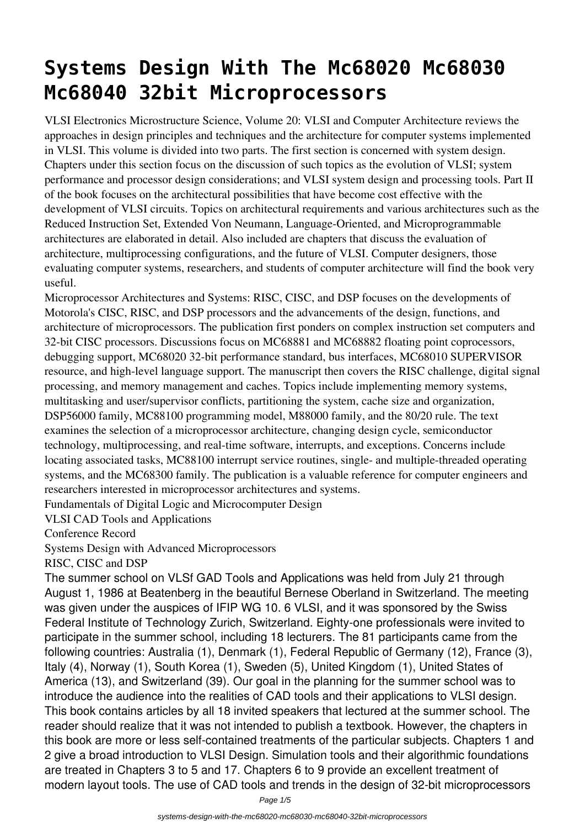## **Systems Design With The Mc68020 Mc68030 Mc68040 32bit Microprocessors**

VLSI Electronics Microstructure Science, Volume 20: VLSI and Computer Architecture reviews the approaches in design principles and techniques and the architecture for computer systems implemented in VLSI. This volume is divided into two parts. The first section is concerned with system design. Chapters under this section focus on the discussion of such topics as the evolution of VLSI; system performance and processor design considerations; and VLSI system design and processing tools. Part II of the book focuses on the architectural possibilities that have become cost effective with the development of VLSI circuits. Topics on architectural requirements and various architectures such as the Reduced Instruction Set, Extended Von Neumann, Language-Oriented, and Microprogrammable architectures are elaborated in detail. Also included are chapters that discuss the evaluation of architecture, multiprocessing configurations, and the future of VLSI. Computer designers, those evaluating computer systems, researchers, and students of computer architecture will find the book very useful.

Microprocessor Architectures and Systems: RISC, CISC, and DSP focuses on the developments of Motorola's CISC, RISC, and DSP processors and the advancements of the design, functions, and architecture of microprocessors. The publication first ponders on complex instruction set computers and 32-bit CISC processors. Discussions focus on MC68881 and MC68882 floating point coprocessors, debugging support, MC68020 32-bit performance standard, bus interfaces, MC68010 SUPERVISOR resource, and high-level language support. The manuscript then covers the RISC challenge, digital signal processing, and memory management and caches. Topics include implementing memory systems, multitasking and user/supervisor conflicts, partitioning the system, cache size and organization, DSP56000 family, MC88100 programming model, M88000 family, and the 80/20 rule. The text examines the selection of a microprocessor architecture, changing design cycle, semiconductor technology, multiprocessing, and real-time software, interrupts, and exceptions. Concerns include locating associated tasks, MC88100 interrupt service routines, single- and multiple-threaded operating systems, and the MC68300 family. The publication is a valuable reference for computer engineers and researchers interested in microprocessor architectures and systems.

Fundamentals of Digital Logic and Microcomputer Design

VLSI CAD Tools and Applications

Conference Record

Systems Design with Advanced Microprocessors

RISC, CISC and DSP

The summer school on VLSf GAD Tools and Applications was held from July 21 through August 1, 1986 at Beatenberg in the beautiful Bernese Oberland in Switzerland. The meeting was given under the auspices of IFIP WG 10. 6 VLSI, and it was sponsored by the Swiss Federal Institute of Technology Zurich, Switzerland. Eighty-one professionals were invited to participate in the summer school, including 18 lecturers. The 81 participants came from the following countries: Australia (1), Denmark (1), Federal Republic of Germany (12), France (3), Italy (4), Norway (1), South Korea (1), Sweden (5), United Kingdom (1), United States of America (13), and Switzerland (39). Our goal in the planning for the summer school was to introduce the audience into the realities of CAD tools and their applications to VLSI design. This book contains articles by all 18 invited speakers that lectured at the summer school. The reader should realize that it was not intended to publish a textbook. However, the chapters in this book are more or less self-contained treatments of the particular subjects. Chapters 1 and 2 give a broad introduction to VLSI Design. Simulation tools and their algorithmic foundations are treated in Chapters 3 to 5 and 17. Chapters 6 to 9 provide an excellent treatment of modern layout tools. The use of CAD tools and trends in the design of 32-bit microprocessors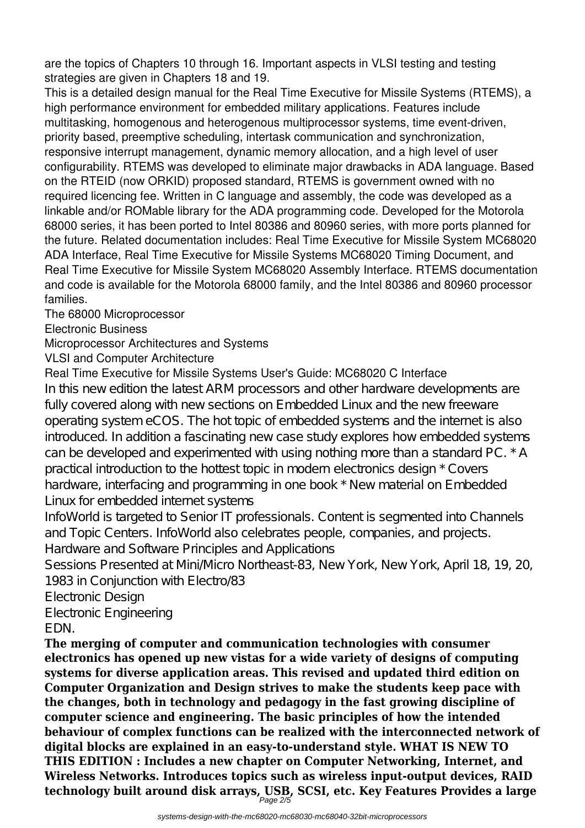are the topics of Chapters 10 through 16. Important aspects in VLSI testing and testing strategies are given in Chapters 18 and 19.

This is a detailed design manual for the Real Time Executive for Missile Systems (RTEMS), a high performance environment for embedded military applications. Features include multitasking, homogenous and heterogenous multiprocessor systems, time event-driven, priority based, preemptive scheduling, intertask communication and synchronization, responsive interrupt management, dynamic memory allocation, and a high level of user configurability. RTEMS was developed to eliminate major drawbacks in ADA language. Based on the RTEID (now ORKID) proposed standard, RTEMS is government owned with no required licencing fee. Written in C language and assembly, the code was developed as a linkable and/or ROMable library for the ADA programming code. Developed for the Motorola 68000 series, it has been ported to Intel 80386 and 80960 series, with more ports planned for the future. Related documentation includes: Real Time Executive for Missile System MC68020 ADA Interface, Real Time Executive for Missile Systems MC68020 Timing Document, and Real Time Executive for Missile System MC68020 Assembly Interface. RTEMS documentation and code is available for the Motorola 68000 family, and the Intel 80386 and 80960 processor families.

The 68000 Microprocessor

Electronic Business

Microprocessor Architectures and Systems

VLSI and Computer Architecture

Real Time Executive for Missile Systems User's Guide: MC68020 C Interface

In this new edition the latest ARM processors and other hardware developments are fully covered along with new sections on Embedded Linux and the new freeware operating system eCOS. The hot topic of embedded systems and the internet is also introduced. In addition a fascinating new case study explores how embedded systems can be developed and experimented with using nothing more than a standard PC. \* A practical introduction to the hottest topic in modern electronics design \* Covers hardware, interfacing and programming in one book \* New material on Embedded Linux for embedded internet systems

InfoWorld is targeted to Senior IT professionals. Content is segmented into Channels and Topic Centers. InfoWorld also celebrates people, companies, and projects. Hardware and Software Principles and Applications

Sessions Presented at Mini Micro Northeast-83, New York, New York, April 18, 19, 20, 1983 in Conjunction with Electro/83

Electronic Design

Electronic Engineering

EDN.

**The merging of computer and communication technologies with consumer electronics has opened up new vistas for a wide variety of designs of computing systems for diverse application areas. This revised and updated third edition on Computer Organization and Design strives to make the students keep pace with the changes, both in technology and pedagogy in the fast growing discipline of computer science and engineering. The basic principles of how the intended behaviour of complex functions can be realized with the interconnected network of digital blocks are explained in an easy-to-understand style. WHAT IS NEW TO THIS EDITION : Includes a new chapter on Computer Networking, Internet, and Wireless Networks. Introduces topics such as wireless input-output devices, RAID technology built around disk arrays, USB, SCSI, etc. Key Features Provides a large** Page 2/5

systems-design-with-the-mc68020-mc68030-mc68040-32bit-microprocessors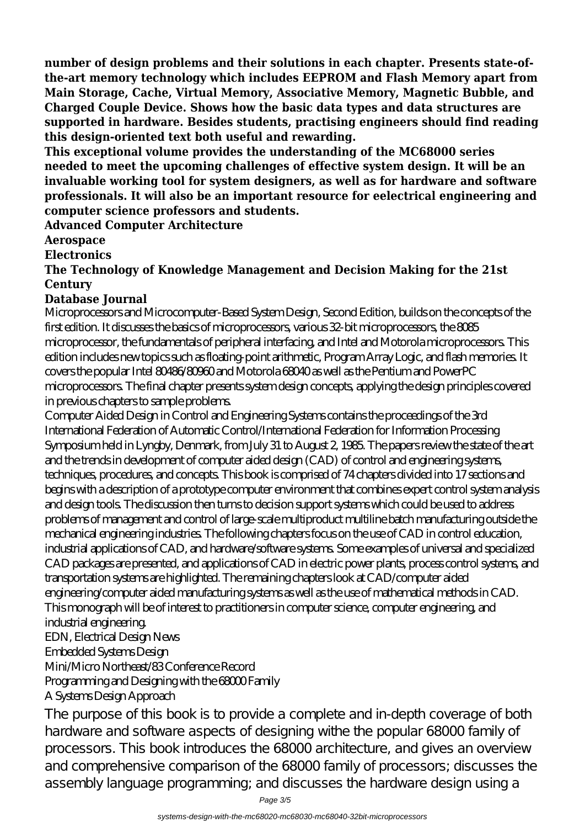**number of design problems and their solutions in each chapter. Presents state-ofthe-art memory technology which includes EEPROM and Flash Memory apart from Main Storage, Cache, Virtual Memory, Associative Memory, Magnetic Bubble, and Charged Couple Device. Shows how the basic data types and data structures are supported in hardware. Besides students, practising engineers should find reading this design-oriented text both useful and rewarding.**

**This exceptional volume provides the understanding of the MC68000 series needed to meet the upcoming challenges of effective system design. It will be an invaluable working tool for system designers, as well as for hardware and software professionals. It will also be an important resource for eelectrical engineering and computer science professors and students.**

**Advanced Computer Architecture**

**Aerospace**

**Electronics**

**The Technology of Knowledge Management and Decision Making for the 21st Century**

## **Database Journal**

Microprocessors and Microcomputer-Based System Design, Second Edition, builds on the concepts of the first edition. It discusses the basics of microprocessors, various 32-bit microprocessors, the 8085 microprocessor, the fundamentals of peripheral interfacing, and Intel and Motorola microprocessors. This edition includes new topics such as floating-point arithmetic, Program Array Logic, and flash memories. It covers the popular Intel 80486/80960 and Motorola 68040 as well as the Pentium and PowerPC microprocessors. The final chapter presents system design concepts, applying the design principles covered in previous chapters to sample problems.

Computer Aided Design in Control and Engineering Systems contains the proceedings of the 3rd International Federation of Automatic Control/International Federation for Information Processing Symposium held in Lyngby, Denmark, from July 31 to August 2, 1985. The papers review the state of the art and the trends in development of computer aided design (CAD) of control and engineering systems, techniques, procedures, and concepts. This book is comprised of 74 chapters divided into 17 sections and begins with a description of a prototype computer environment that combines expert control system analysis and design tools. The discussion then turns to decision support systems which could be used to address problems of management and control of large-scale multiproduct multiline batch manufacturing outside the mechanical engineering industries. The following chapters focus on the use of CAD in control education, industrial applications of CAD, and hardware/software systems. Some examples of universal and specialized CAD packages are presented, and applications of CAD in electric power plants, process control systems, and transportation systems are highlighted. The remaining chapters look at CAD/computer aided engineering/computer aided manufacturing systems as well as the use of mathematical methods in CAD. This monograph will be of interest to practitioners in computer science, computer engineering, and industrial engineering. EDN, Electrical Design News

Embedded Systems Design

Mini/Micro Northeast/83 Conference Record

Programming and Designing with the 68000 Family

## A Systems Design Approach

The purpose of this book is to provide a complete and in-depth coverage of both hardware and software aspects of designing withe the popular 68000 family of processors. This book introduces the 68000 architecture, and gives an overview and comprehensive comparison of the 68000 family of processors; discusses the assembly language programming; and discusses the hardware design using a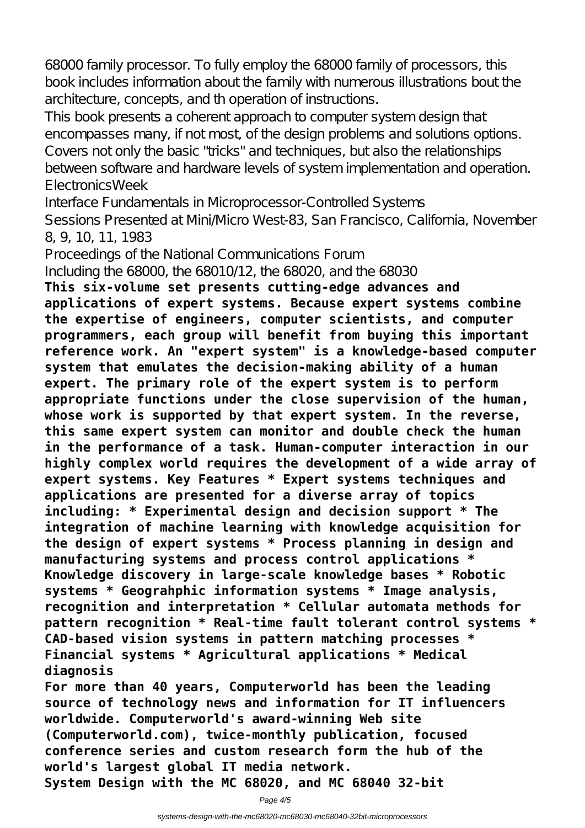68000 family processor. To fully employ the 68000 family of processors, this book includes information about the family with numerous illustrations bout the architecture, concepts, and th operation of instructions.

This book presents a coherent approach to computer system design that encompasses many, if not most, of the design problems and solutions options. Covers not only the basic "tricks" and techniques, but also the relationships between software and hardware levels of system implementation and operation. ElectronicsWeek

Interface Fundamentals in Microprocessor-Controlled Systems

Sessions Presented at Mini Micro West-83, San Francisco, California, November 8, 9, 10, 11, 1983

Proceedings of the National Communications Forum

Including the 68000, the 68010/12, the 68020, and the 68030

**This six-volume set presents cutting-edge advances and applications of expert systems. Because expert systems combine the expertise of engineers, computer scientists, and computer programmers, each group will benefit from buying this important reference work. An "expert system" is a knowledge-based computer system that emulates the decision-making ability of a human expert. The primary role of the expert system is to perform appropriate functions under the close supervision of the human, whose work is supported by that expert system. In the reverse, this same expert system can monitor and double check the human in the performance of a task. Human-computer interaction in our highly complex world requires the development of a wide array of expert systems. Key Features \* Expert systems techniques and applications are presented for a diverse array of topics including: \* Experimental design and decision support \* The integration of machine learning with knowledge acquisition for the design of expert systems \* Process planning in design and manufacturing systems and process control applications \* Knowledge discovery in large-scale knowledge bases \* Robotic systems \* Geograhphic information systems \* Image analysis, recognition and interpretation \* Cellular automata methods for pattern recognition \* Real-time fault tolerant control systems \* CAD-based vision systems in pattern matching processes \* Financial systems \* Agricultural applications \* Medical diagnosis**

**For more than 40 years, Computerworld has been the leading source of technology news and information for IT influencers worldwide. Computerworld's award-winning Web site (Computerworld.com), twice-monthly publication, focused conference series and custom research form the hub of the world's largest global IT media network. System Design with the MC 68020, and MC 68040 32-bit**